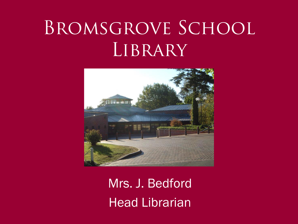# BROMSGROVE SCHOOL LIBRARY



Mrs. J. Bedford Head Librarian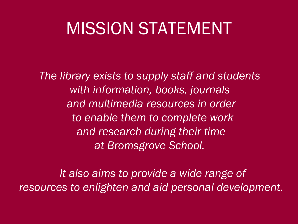### MISSION STATEMENT

*The library exists to supply staff and students with information, books, journals and multimedia resources in order to enable them to complete work and research during their time at Bromsgrove School.* 

*It also aims to provide a wide range of resources to enlighten and aid personal development.*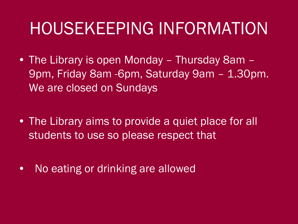### HOUSEKEEPING INFORMATION

- The Library is open Monday Thursday 8am 9pm, Friday 8am -6pm, Saturday 9am - 1.30pm. We are closed on Sundays
- The Library aims to provide a quiet place for all students to use so please respect that
- No eating or drinking are allowed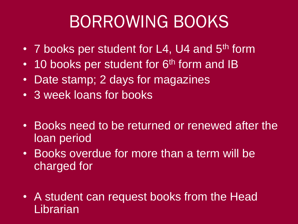## BORROWING BOOKS

- 7 books per student for L4, U4 and 5<sup>th</sup> form
- $\cdot$  10 books per student for 6<sup>th</sup> form and IB
- Date stamp; 2 days for magazines
- 3 week loans for books
- Books need to be returned or renewed after the loan period
- Books overdue for more than a term will be charged for
- A student can request books from the Head **Librarian**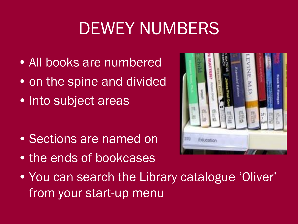# DEWEY NUMBERS

- All books are numbered
- on the spine and divided
- Into subject areas

- Sections are named on
- the ends of bookcases



• You can search the Library catalogue 'Oliver' from your start-up menu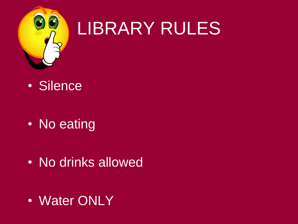

# LIBRARY RULES

• Silence

• No eating

• No drinks allowed

• Water ONLY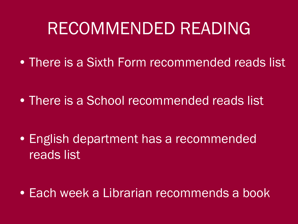### RECOMMENDED READING

• There is a Sixth Form recommended reads list

• There is a School recommended reads list

• English department has a recommended reads list

• Each week a Librarian recommends a book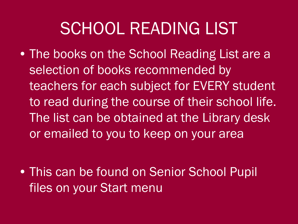### SCHOOL READING LIST

• The books on the School Reading List are a selection of books recommended by teachers for each subject for EVERY student to read during the course of their school life. The list can be obtained at the Library desk or emailed to you to keep on your area

• This can be found on Senior School Pupil files on your Start menu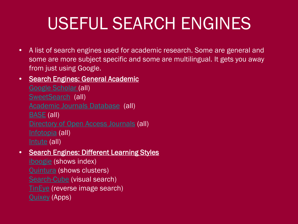# USEFUL SEARCH ENGINES

• A list of search engines used for academic research. Some are general and some are more subject specific and some are multilingual. It gets you away from just using Google.

#### • Search Engines: General Academic

[Google Scholar](http://scholar.google.co.uk/) (all) [SweetSearch](http://www.sweetsearch.com/) (all) [Academic Journals Database](http://journaldatabase.org/) (all) [BASE](http://www.base-search.net/) (all) [Directory of Open Access Journals](http://www.doaj.org/) (all) [Infotopia](http://www.infotopia.info/) (all) [Intute](http://www.intute.ac.uk/) (all)

#### • Search Engines: Different Learning Styles

[iboogie](http://www.iboogie.com/) (shows index) [Quintura](http://www.quintura.com/) (shows clusters) [Search-Cube](http://search-cube.com/) (visual search) [TinEye](http://www.tineye.com/) (reverse image search) [Quixey](https://www.quixey.com/) (Apps)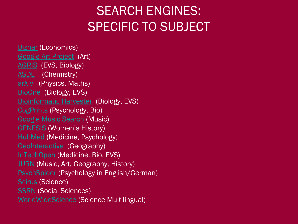### SEARCH ENGINES: SPECIFIC TO SUBJECT

[Biznar](http://biznar.com/biznar/search.html?ssid=&searchMode=advanced) (Economics) [Google Art Project](http://www.googleartproject.com/) (Art) [AGRIS](http://agris.fao.org/) (EVS, Biology) [ASDL](http://www.asdlib.org/index.php) (Chemistry) [arXiv](http://arxiv.org/) (Physics, Maths) [BioOne](http://www.bioone.org/) (Biology, EVS) [Bioinformatic Harvester](http://harvester.fzk.de/harvester/) (Biology, EVS) [CogPrints](http://cogprints.org/) (Psychology, Bio) [Google Music Search](http://www.googlemusicsearch.com/) (Music) [GENESIS](http://www.londonmet.ac.uk/genesis/) (Women's History) [HubMed](http://www.hubmed.org/) (Medicine, Psychology) [GeoInteractive](http://www.geointeractive.co.uk/gse.htm) (Geography) [InTechOpen](http://www.intechopen.com/) (Medicine, Bio, EVS) **[JURN](http://www.jurn.org/)** (Music, Art, Geography, History) [PsychSpider](http://www.zpid.de/PsychSpider.php?lang=EN) (Psychology in English/German) [Scirus](http://www.scirus.com/) (Science) **[SSRN](http://www.ssrn.com/)** (Social Sciences) [WorldWideScience](http://worldwidescience.org/) (Science Multilingual)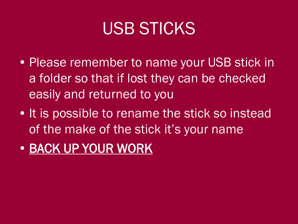### USB STICKS

- Please remember to name your USB stick in a folder so that if lost they can be checked easily and returned to you
- It is possible to rename the stick so instead of the make of the stick it's your name
- BACK UP YOUR WORK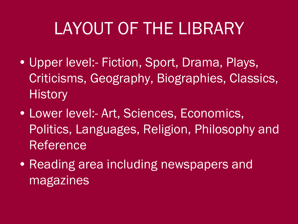# LAYOUT OF THE LIBRARY

- Upper level:- Fiction, Sport, Drama, Plays, Criticisms, Geography, Biographies, Classics, **History**
- Lower level:- Art, Sciences, Economics, Politics, Languages, Religion, Philosophy and Reference
- Reading area including newspapers and magazines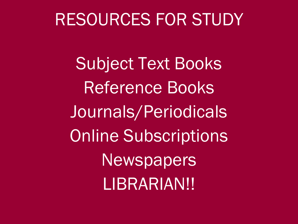### RESOURCES FOR STUDY

Subject Text Books Reference Books Journals/Periodicals Online Subscriptions **Newspapers** LIBRARIAN!!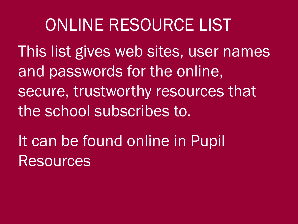### ONLINE RESOURCE LIST

This list gives web sites, user names and passwords for the online, secure, trustworthy resources that the school subscribes to.

It can be found online in Pupil **Resources**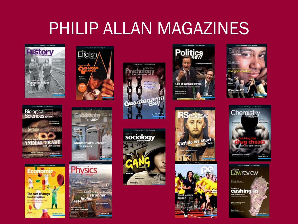### PHILIP ALLAN MAGAZINES



**Biological**<br>Sciences review

**NIMAL TRADE** 

=conom

The cost of drugs

**Impacts on healthcare** 



English/











What do we know

RS

**Great leaders** 

in sport





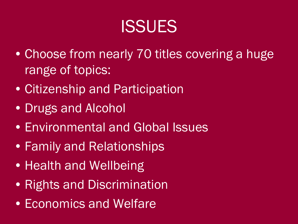### **ISSUES**

- Choose from nearly 70 titles covering a huge range of topics:
- Citizenship and Participation
- Drugs and Alcohol
- Environmental and Global Issues
- Family and Relationships
- Health and Wellbeing
- Rights and Discrimination
- Economics and Welfare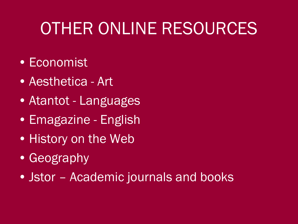# OTHER ONLINE RESOURCES

- Economist
- Aesthetica Art
- Atantot Languages
- Emagazine English
- History on the Web
- Geography
- Jstor Academic journals and books